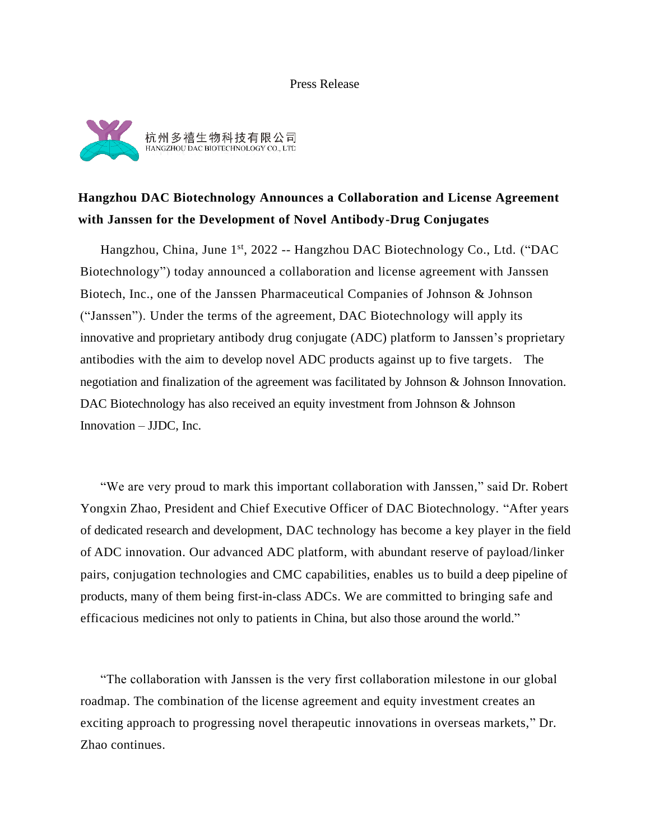#### Press Release



## **Hangzhou DAC Biotechnology Announces a Collaboration and License Agreement with Janssen for the Development of Novel Antibody-Drug Conjugates**

Hangzhou, China, June 1<sup>st</sup>, 2022 -- Hangzhou DAC Biotechnology Co., Ltd. ("DAC Biotechnology") today announced a collaboration and license agreement with Janssen Biotech, Inc., one of the Janssen Pharmaceutical Companies of Johnson & Johnson ("Janssen"). Under the terms of the agreement, DAC Biotechnology will apply its innovative and proprietary antibody drug conjugate (ADC) platform to Janssen's proprietary antibodies with the aim to develop novel ADC products against up to five targets. The negotiation and finalization of the agreement was facilitated by Johnson & Johnson Innovation. DAC Biotechnology has also received an equity investment from Johnson & Johnson Innovation – JJDC, Inc.

"We are very proud to mark this important collaboration with Janssen," said Dr. Robert Yongxin Zhao, President and Chief Executive Officer of DAC Biotechnology. "After years of dedicated research and development, DAC technology has become a key player in the field of ADC innovation. Our advanced ADC platform, with abundant reserve of payload/linker pairs, conjugation technologies and CMC capabilities, enables us to build a deep pipeline of products, many of them being first-in-class ADCs. We are committed to bringing safe and efficacious medicines not only to patients in China, but also those around the world."

"The collaboration with Janssen is the very first collaboration milestone in our global roadmap. The combination of the license agreement and equity investment creates an exciting approach to progressing novel therapeutic innovations in overseas markets," Dr. Zhao continues.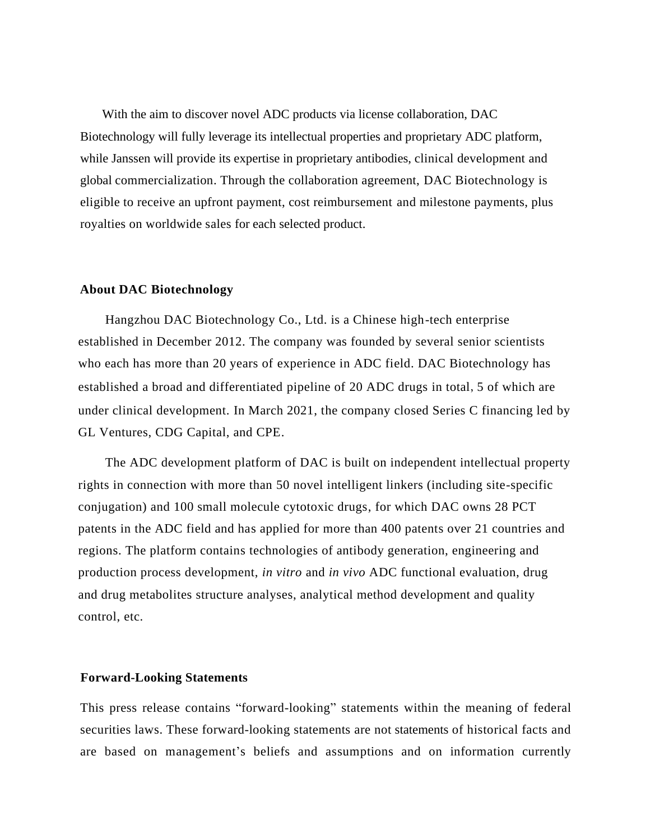With the aim to discover novel ADC products via license collaboration, DAC Biotechnology will fully leverage its intellectual properties and proprietary ADC platform, while Janssen will provide its expertise in proprietary antibodies, clinical development and global commercialization. Through the collaboration agreement, DAC Biotechnology is eligible to receive an upfront payment, cost reimbursement and milestone payments, plus royalties on worldwide sales for each selected product.

#### **About DAC Biotechnology**

Hangzhou DAC Biotechnology Co., Ltd. is a Chinese high-tech enterprise established in December 2012. The company was founded by several senior scientists who each has more than 20 years of experience in ADC field. DAC Biotechnology has established a broad and differentiated pipeline of 20 ADC drugs in total, 5 of which are under clinical development. In March 2021, the company closed Series C financing led by GL Ventures, CDG Capital, and CPE.

The ADC development platform of DAC is built on independent intellectual property rights in connection with more than 50 novel intelligent linkers (including site-specific conjugation) and 100 small molecule cytotoxic drugs, for which DAC owns 28 PCT patents in the ADC field and has applied for more than 400 patents over 21 countries and regions. The platform contains technologies of antibody generation, engineering and production process development, *in vitro* and *in vivo* ADC functional evaluation, drug and drug metabolites structure analyses, analytical method development and quality control, etc.

#### **Forward-Looking Statements**

This press release contains "forward-looking" statements within the meaning of federal securities laws. These forward-looking statements are not statements of historical facts and are based on management's beliefs and assumptions and on information currently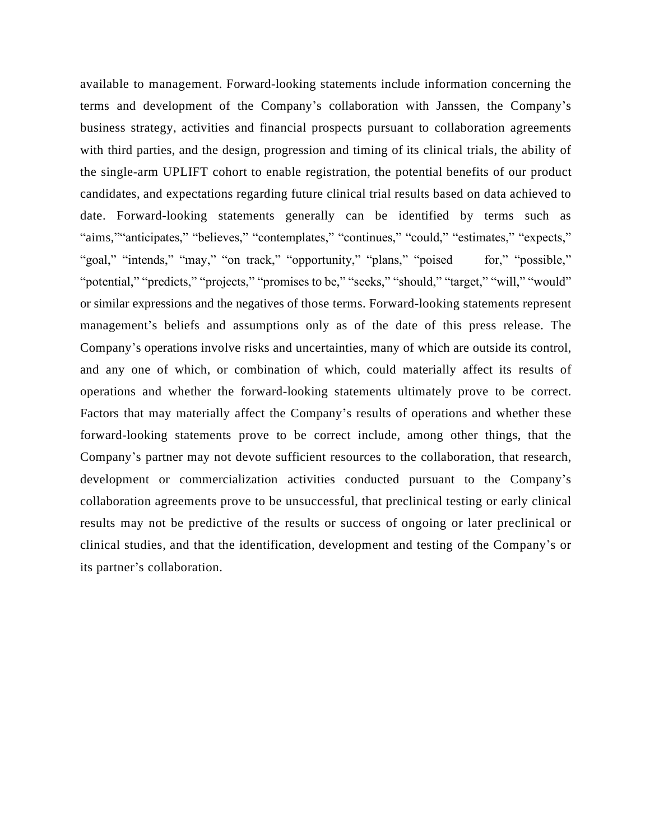available to management. Forward-looking statements include information concerning the terms and development of the Company's collaboration with Janssen, the Company's business strategy, activities and financial prospects pursuant to collaboration agreements with third parties, and the design, progression and timing of its clinical trials, the ability of the single-arm UPLIFT cohort to enable registration, the potential benefits of our product candidates, and expectations regarding future clinical trial results based on data achieved to date. Forward-looking statements generally can be identified by terms such as "aims," "anticipates," "believes," "contemplates," "continues," "could," "estimates," "expects," " goal," "intends," "may," "on track," "opportunity," "plans," "poised for," "possible," "potential," "predicts," "projects," "promises to be," "seeks," "should," "target," "will," "would" or similar expressions and the negatives of those terms. Forward-looking statements represent management's beliefs and assumptions only as of the date of this press release. The Company's operations involve risks and uncertainties, many of which are outside its control, and any one of which, or combination of which, could materially affect its results of operations and whether the forward-looking statements ultimately prove to be correct. Factors that may materially affect the Company's results of operations and whether these forward-looking statements prove to be correct include, among other things, that the Company's partner may not devote sufficient resources to the collaboration, that research, development or commercialization activities conducted pursuant to the Company's collaboration agreements prove to be unsuccessful, that preclinical testing or early clinical results may not be predictive of the results or success of ongoing or later preclinical or clinical studies, and that the identification, development and testing of the Company's or its partner's collaboration.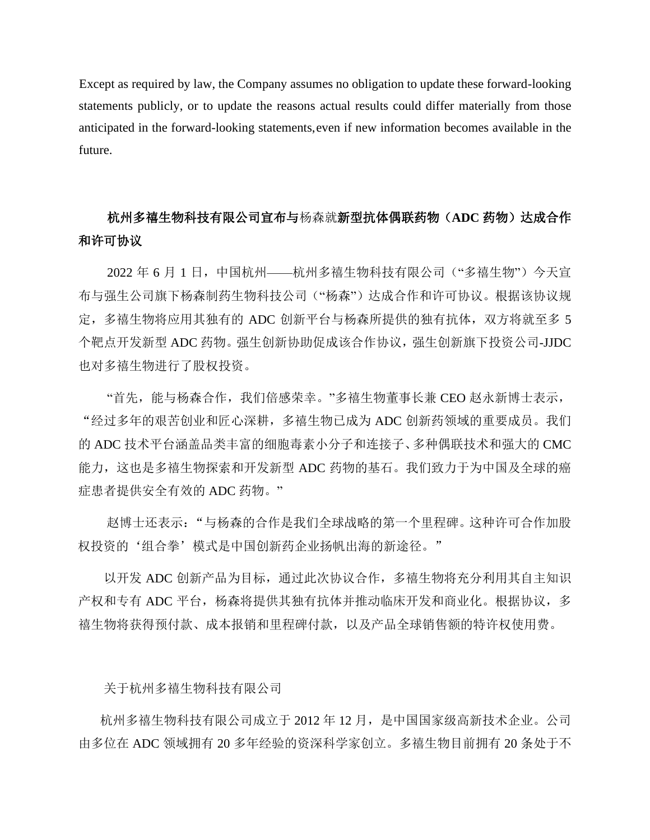Except as required by law, the Company assumes no obligation to update these forward-looking statements publicly, or to update the reasons actual results could differ materially from those anticipated in the forward-looking statements,even if new information becomes available in the future.

# 杭州多禧生物科技有限公司宣布与杨森就新型抗体偶联药物(**ADC** 药物)达成合作 和许可协议

2022 年 6 月 1 日, 中国杭州——杭州多禧生物科技有限公司("多禧生物")今天宣 布与强生公司旗下杨森制药生物科技公司("杨森")达成合作和许可协议。根据该协议规 定,多禧生物将应用其独有的 ADC 创新平台与杨森所提供的独有抗体,双方将就至多 5 个靶点开发新型 ADC 药物。强生创新协助促成该合作协议,强生创新旗下投资公司-JJDC 也对多禧生物进行了股权投资。

"首先,能与杨森合作,我们倍感荣幸。"多禧生物董事长兼 CEO 赵永新博士表示, "经过多年的艰苦创业和匠心深耕,多禧生物已成为 ADC 创新药领域的重要成员。我们 的 ADC 技术平台涵盖品类丰富的细胞毒素小分子和连接子、多种偶联技术和强大的 CMC 能力,这也是多禧生物探索和开发新型 ADC 药物的基石。我们致力于为中国及全球的癌 症患者提供安全有效的 ADC 药物。"

赵博士还表示:"与杨森的合作是我们全球战略的第一个里程碑。这种许可合作加股 权投资的'组合拳'模式是中国创新药企业扬帆出海的新途径。"

以开发 ADC 创新产品为目标,通过此次协议合作,多禧生物将充分利用其自主知识 产权和专有 ADC 平台, 杨森将提供其独有抗体并推动临床开发和商业化。根据协议, 多 禧生物将获得预付款、成本报销和里程碑付款,以及产品全球销售额的特许权使用费。

关于杭州多禧生物科技有限公司

杭州多禧生物科技有限公司成立于 2012 年 12 月,是中国国家级高新技术企业。公司 由多位在 ADC 领域拥有 20 多年经验的资深科学家创立。多禧生物目前拥有 20 条处于不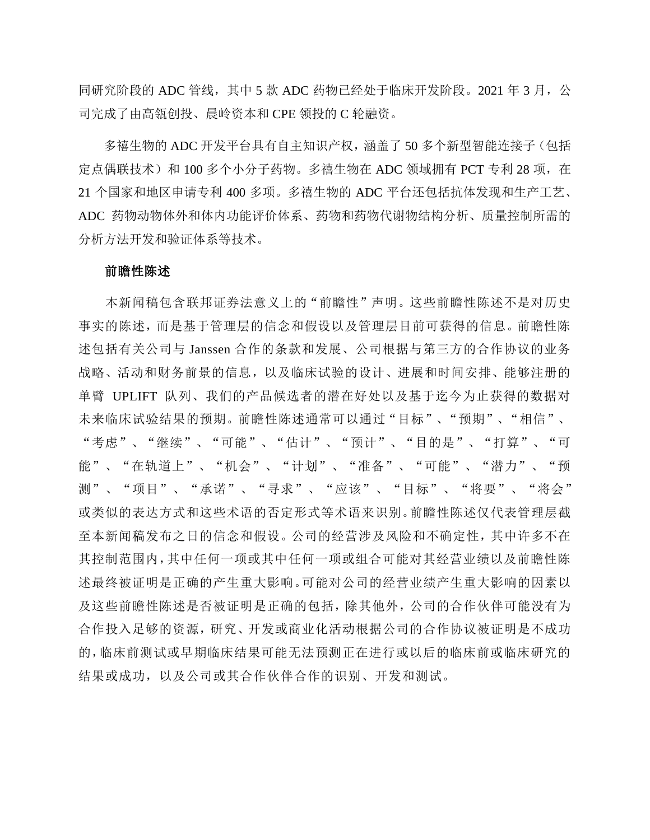同研究阶段的 ADC 管线,其中 5 款 ADC 药物己经处于临床开发阶段。2021 年 3 月,公 司完成了由高瓴创投、晨岭资本和 CPE 领投的 C 轮融资。

多禧生物的 ADC 开发平台具有自主知识产权,涵盖了 50 多个新型智能连接子(包括 定点偶联技术)和 100 多个小分子药物。多禧生物在 ADC 领域拥有 PCT 专利 28 项, 在 21 个国家和地区申请专利 400 多项。多禧生物的 ADC 平台还包括抗体发现和生产工艺、 ADC 药物动物体外和体内功能评价体系、药物和药物代谢物结构分析、质量控制所需的 分析方法开发和验证体系等技术。

#### 前瞻性陈述

本新闻稿包含联邦证券法意义上的"前瞻性"声明。这些前瞻性陈述不是对历史 事实的陈述,而是基于管理层的信念和假设以及管理层目前可获得的信息。前瞻性陈 述包括有关公司与 Janssen 合作的条款和发展、公司根据与第三方的合作协议的业务 战略、活动和财务前景的信息,以及临床试验的设计、进展和时间安排、能够注册的 单臂 UPLIFT 队列、我们的产品候选者的潜在好处以及基于迄今为止获得的数据对 未来临床试验结果的预期。前瞻性陈述通常可以通过"目标"、"预期"、"相信"、 "考虑"、"继续"、"可能"、"估计"、"预计"、"目的是"、"打算"、"可 能"、"在轨道上"、"机会"、"计划"、"准备"、"可能"、"潜力"、"预 测"、"项目"、"承诺"、"寻求"、"应该"、"目标"、"将要"、"将会" 或类似的表达方式和这些术语的否定形式等术语来识别。前瞻性陈述仅代表管理层截 至本新闻稿发布之日的信念和假设。公司的经营涉及风险和不确定性,其中许多不在 其控制范围内,其中任何一项或其中任何一项或组合可能对其经营业绩以及前瞻性陈 述最终被证明是正确的产生重大影响。可能对公司的经营业绩产生重大影响的因素以 及这些前瞻性陈述是否被证明是正确的包括,除其他外,公司的合作伙伴可能没有为 合作投入足够的资源,研究、开发或商业化活动根据公司的合作协议被证明是不成功 的,临床前测试或早期临床结果可能无法预测正在进行或以后的临床前或临床研究的 结果或成功,以及公司或其合作伙伴合作的识别、开发和测试。